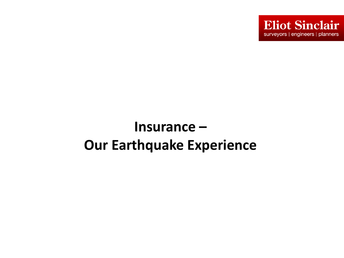

# **Insurance – Our Earthquake Experience**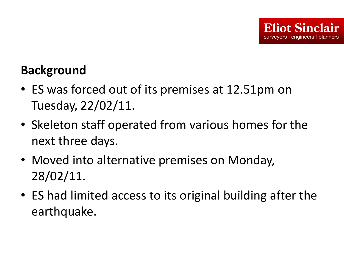#### **Background**

- ES was forced out of its premises at 12.51pm on Tuesday, 22/02/11.
- Skeleton staff operated from various homes for the next three days.
- Moved into alternative premises on Monday, 28/02/11.
- ES had limited access to its original building after the earthquake.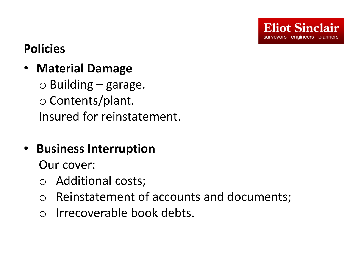# **Policies**

• **Material Damage**

 $\circ$  Building – garage. o Contents/plant. Insured for reinstatement.

• **Business Interruption**

Our cover:

- o Additional costs;
- o Reinstatement of accounts and documents;
- o Irrecoverable book debts.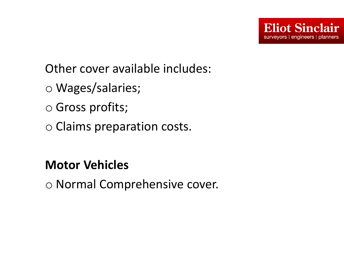Other cover available includes:

- o Wages/salaries;
- o Gross profits;
- o Claims preparation costs.

### **Motor Vehicles**

o Normal Comprehensive cover.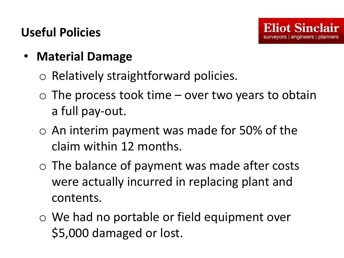### **Useful Policies**

- **Material Damage**
	- o Relatively straightforward policies.
	- $\circ$  The process took time over two years to obtain a full pay-out.
	- $\circ$  An interim payment was made for 50% of the claim within 12 months.
	- o The balance of payment was made after costs were actually incurred in replacing plant and contents.
	- o We had no portable or field equipment over \$5,000 damaged or lost.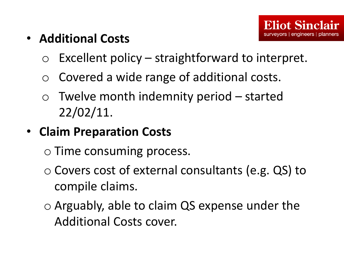- **Additional Costs**
	- $\circ$  Excellent policy straightforward to interpret.
	- o Covered a wide range of additional costs.
	- $\circ$  Twelve month indemnity period started 22/02/11.
- **Claim Preparation Costs**

o Time consuming process.

- o Covers cost of external consultants (e.g. QS) to compile claims.
- o Arguably, able to claim QS expense under the Additional Costs cover.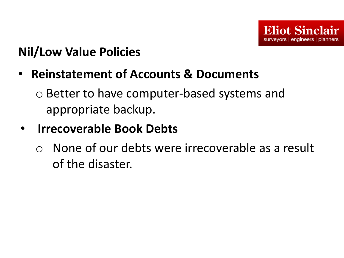### **Nil/Low Value Policies**

• **Reinstatement of Accounts & Documents**

o Better to have computer-based systems and appropriate backup.

### • **Irrecoverable Book Debts**

o None of our debts were irrecoverable as a result of the disaster.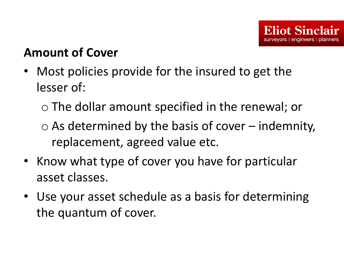#### **Amount of Cover**

- Most policies provide for the insured to get the lesser of:
	- o The dollar amount specified in the renewal; or
	- $\circ$  As determined by the basis of cover indemnity, replacement, agreed value etc.
- Know what type of cover you have for particular asset classes.
- Use your asset schedule as a basis for determining the quantum of cover.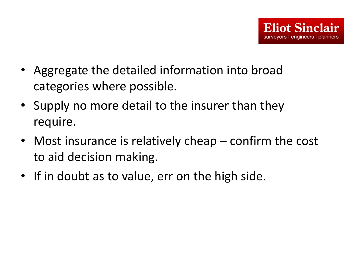- Aggregate the detailed information into broad categories where possible.
- Supply no more detail to the insurer than they require.
- Most insurance is relatively cheap confirm the cost to aid decision making.
- If in doubt as to value, err on the high side.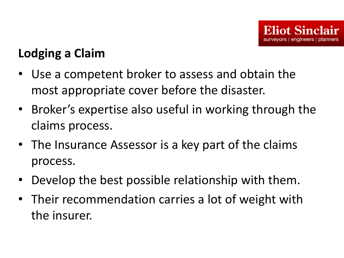## **Lodging a Claim**

- Use a competent broker to assess and obtain the most appropriate cover before the disaster.
- Broker's expertise also useful in working through the claims process.
- The Insurance Assessor is a key part of the claims process.
- Develop the best possible relationship with them.
- Their recommendation carries a lot of weight with the insurer.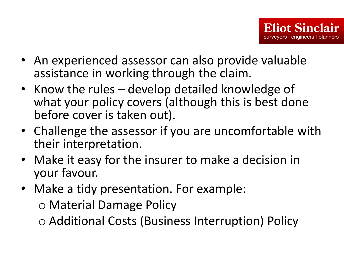- An experienced assessor can also provide valuable assistance in working through the claim.
- Know the rules develop detailed knowledge of what your policy covers (although this is best done before cover is taken out).
- Challenge the assessor if you are uncomfortable with their interpretation.
- Make it easy for the insurer to make a decision in your favour.
- Make a tidy presentation. For example: o Material Damage Policy

o Additional Costs (Business Interruption) Policy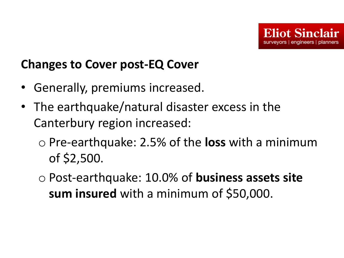### **Changes to Cover post-EQ Cover**

- Generally, premiums increased.
- The earthquake/natural disaster excess in the Canterbury region increased:
	- o Pre-earthquake: 2.5% of the **loss** with a minimum of \$2,500.
	- o Post-earthquake: 10.0% of **business assets site sum insured** with a minimum of \$50,000.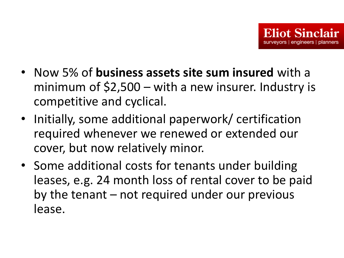- Now 5% of **business assets site sum insured** with a minimum of  $$2,500 - with a newk$  insurer. Industry is competitive and cyclical.
- Initially, some additional paperwork/ certification required whenever we renewed or extended our cover, but now relatively minor.
- Some additional costs for tenants under building leases, e.g. 24 month loss of rental cover to be paid by the tenant – not required under our previous lease.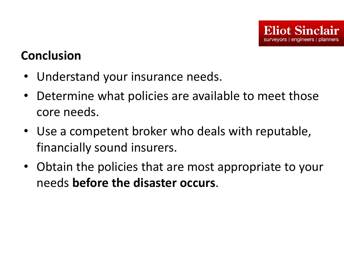#### **Conclusion**

- Understand your insurance needs.
- Determine what policies are available to meet those core needs.
- Use a competent broker who deals with reputable, financially sound insurers.
- Obtain the policies that are most appropriate to your needs **before the disaster occurs**.